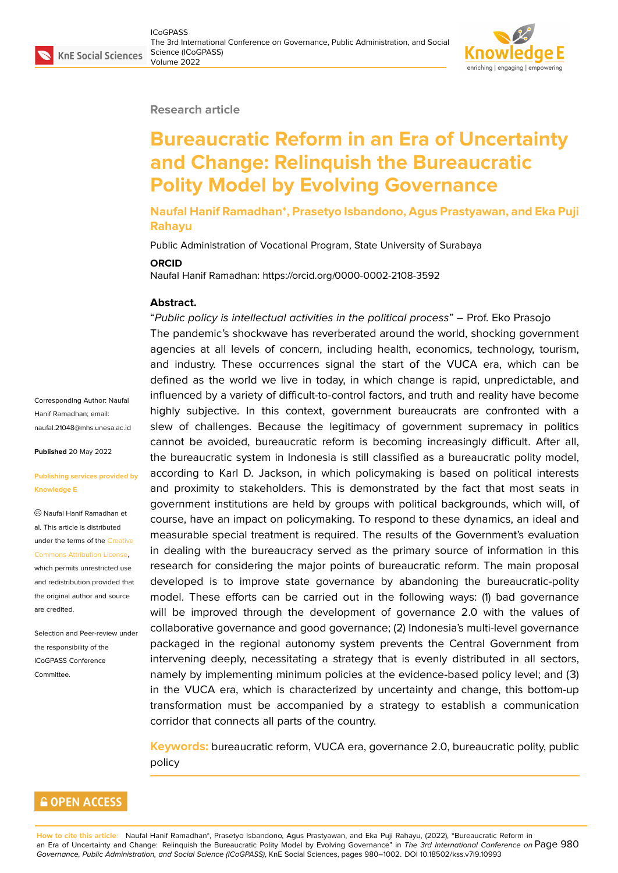#### **Research article**

# **Bureaucratic Reform in an Era of Uncertainty and Change: Relinquish the Bureaucratic Polity Model by Evolving Governance**

**Naufal Hanif Ramadhan\*, Prasetyo Isbandono, Agus Prastyawan, and Eka Puji Rahayu**

Public Administration of Vocational Program, State University of Surabaya

#### **ORCID**

Naufal Hanif Ramadhan: https://orcid.org/0000-0002-2108-3592

#### **Abstract.**

Corresponding Author: Naufal Hanif Ramadhan; email: naufal.21048@mhs.unesa.ac.id

**Published** 20 May 2022

#### **[Publishing services provided b](mailto:naufal.21048@mhs.unesa.ac.id)y Knowledge E**

Naufal Hanif Ramadhan et al. This article is distributed under the terms of the Creative Commons Attribution License,

which permits unrestricted use and redistribution provided that the original author and [source](https://creativecommons.org/licenses/by/4.0/) [are credited.](https://creativecommons.org/licenses/by/4.0/)

Selection and Peer-review under the responsibility of the ICoGPASS Conference Committee.

"*Public policy is intellectual activities in the political process*" – Prof. Eko Prasojo The pandemic's shockwave has reverberated around the world, shocking government agencies at all levels of concern, including health, economics, technology, tourism, and industry. These occurrences signal the start of the VUCA era, which can be defined as the world we live in today, in which change is rapid, unpredictable, and influenced by a variety of difficult-to-control factors, and truth and reality have become highly subjective. In this context, government bureaucrats are confronted with a slew of challenges. Because the legitimacy of government supremacy in politics cannot be avoided, bureaucratic reform is becoming increasingly difficult. After all, the bureaucratic system in Indonesia is still classified as a bureaucratic polity model, according to Karl D. Jackson, in which policymaking is based on political interests and proximity to stakeholders. This is demonstrated by the fact that most seats in government institutions are held by groups with political backgrounds, which will, of course, have an impact on policymaking. To respond to these dynamics, an ideal and measurable special treatment is required. The results of the Government's evaluation in dealing with the bureaucracy served as the primary source of information in this research for considering the major points of bureaucratic reform. The main proposal developed is to improve state governance by abandoning the bureaucratic-polity model. These efforts can be carried out in the following ways: (1) bad governance will be improved through the development of governance 2.0 with the values of collaborative governance and good governance; (2) Indonesia's multi-level governance packaged in the regional autonomy system prevents the Central Government from intervening deeply, necessitating a strategy that is evenly distributed in all sectors, namely by implementing minimum policies at the evidence-based policy level; and (3) in the VUCA era, which is characterized by uncertainty and change, this bottom-up transformation must be accompanied by a strategy to establish a communication corridor that connects all parts of the country.

**Keywords:** bureaucratic reform, VUCA era, governance 2.0, bureaucratic polity, public policy

### **GOPEN ACCESS**

**How to cite this article**: Naufal Hanif Ramadhan\*, Prasetyo Isbandono, Agus Prastyawan, and Eka Puji Rahayu, (2022), "Bureaucratic Reform in an Era of Uncertainty and Change: Relinquish the Bureaucratic Polity Model by Evolving Governance" in *The 3rd International Conference on* Page 980 *Governance, Public Administration, and Social Science (ICoGPASS)*, KnE Social Sciences, pages 980–1002. DOI 10.18502/kss.v7i9.10993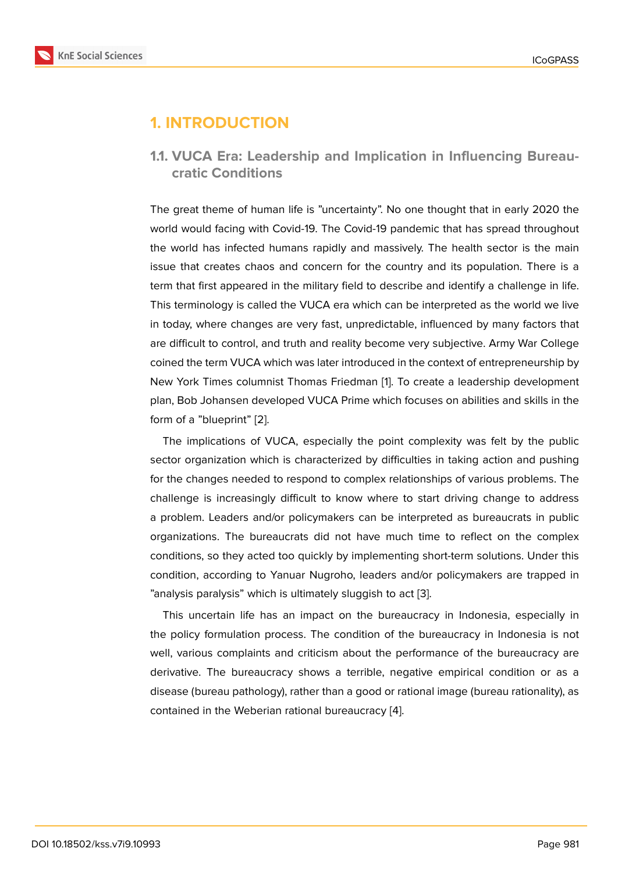# **1. INTRODUCTION**

### **1.1. VUCA Era: Leadership and Implication in Influencing Bureaucratic Conditions**

The great theme of human life is "uncertainty". No one thought that in early 2020 the world would facing with Covid-19. The Covid-19 pandemic that has spread throughout the world has infected humans rapidly and massively. The health sector is the main issue that creates chaos and concern for the country and its population. There is a term that first appeared in the military field to describe and identify a challenge in life. This terminology is called the VUCA era which can be interpreted as the world we live in today, where changes are very fast, unpredictable, influenced by many factors that are difficult to control, and truth and reality become very subjective. Army War College coined the term VUCA which was later introduced in the context of entrepreneurship by New York Times columnist Thomas Friedman [1]. To create a leadership development plan, Bob Johansen developed VUCA Prime which focuses on abilities and skills in the form of a "blueprint" [2].

The implications of VUCA, especially the [po](#page-19-0)int complexity was felt by the public sector organization which is characterized by difficulties in taking action and pushing for the changes nee[ded](#page-19-1) to respond to complex relationships of various problems. The challenge is increasingly difficult to know where to start driving change to address a problem. Leaders and/or policymakers can be interpreted as bureaucrats in public organizations. The bureaucrats did not have much time to reflect on the complex conditions, so they acted too quickly by implementing short-term solutions. Under this condition, according to Yanuar Nugroho, leaders and/or policymakers are trapped in "analysis paralysis" which is ultimately sluggish to act [3].

This uncertain life has an impact on the bureaucracy in Indonesia, especially in the policy formulation process. The condition of the bureaucracy in Indonesia is not well, various complaints and criticism about the perf[orm](#page-19-2)ance of the bureaucracy are derivative. The bureaucracy shows a terrible, negative empirical condition or as a disease (bureau pathology), rather than a good or rational image (bureau rationality), as contained in the Weberian rational bureaucracy [4].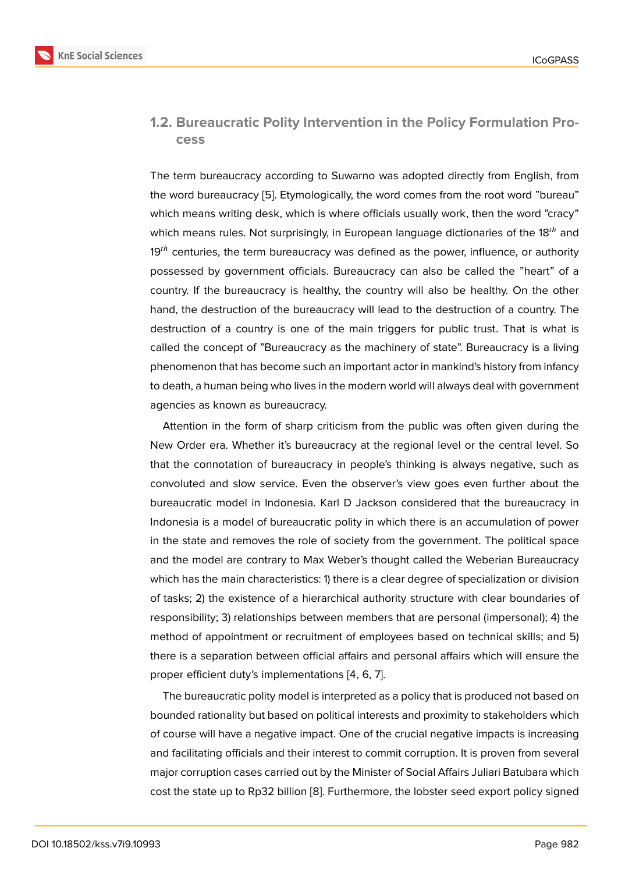### **1.2. Bureaucratic Polity Intervention in the Policy Formulation Process**

The term bureaucracy according to Suwarno was adopted directly from English, from the word bureaucracy [5]. Etymologically, the word comes from the root word "bureau" which means writing desk, which is where officials usually work, then the word "cracy" which means rules. Not surprisingly, in European language dictionaries of the 18<sup>th</sup> and  $19<sup>th</sup>$  centuries, the ter[m b](#page-19-3)ureaucracy was defined as the power, influence, or authority possessed by government officials. Bureaucracy can also be called the "heart" of a country. If the bureaucracy is healthy, the country will also be healthy. On the other hand, the destruction of the bureaucracy will lead to the destruction of a country. The destruction of a country is one of the main triggers for public trust. That is what is called the concept of "Bureaucracy as the machinery of state". Bureaucracy is a living phenomenon that has become such an important actor in mankind's history from infancy to death, a human being who lives in the modern world will always deal with government agencies as known as bureaucracy.

Attention in the form of sharp criticism from the public was often given during the New Order era. Whether it's bureaucracy at the regional level or the central level. So that the connotation of bureaucracy in people's thinking is always negative, such as convoluted and slow service. Even the observer's view goes even further about the bureaucratic model in Indonesia. Karl D Jackson considered that the bureaucracy in Indonesia is a model of bureaucratic polity in which there is an accumulation of power in the state and removes the role of society from the government. The political space and the model are contrary to Max Weber's thought called the Weberian Bureaucracy which has the main characteristics: 1) there is a clear degree of specialization or division of tasks; 2) the existence of a hierarchical authority structure with clear boundaries of responsibility; 3) relationships between members that are personal (impersonal); 4) the method of appointment or recruitment of employees based on technical skills; and 5) there is a separation between official affairs and personal affairs which will ensure the proper efficient duty's implementations [4, 6, 7].

The bureaucratic polity model is interpreted as a policy that is produced not based on bounded rationality but based on political interests and proximity to stakeholders which of course will have a negative impact. One of the crucial negative impacts is increasing and facilitating officials and their interest to commit corruption. It is proven from several major corruption cases carried out by the Minister of Social Affairs Juliari Batubara which cost the state up to Rp32 billion [8]. Furthermore, the lobster seed export policy signed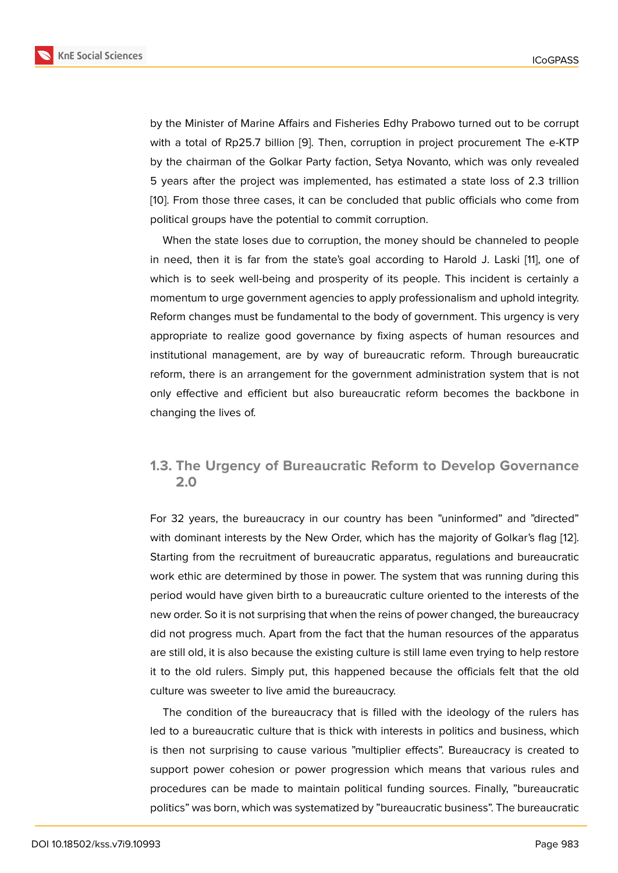by the Minister of Marine Affairs and Fisheries Edhy Prabowo turned out to be corrupt with a total of Rp25.7 billion [9]. Then, corruption in project procurement The e-KTP by the chairman of the Golkar Party faction, Setya Novanto, which was only revealed 5 years after the project was implemented, has estimated a state loss of 2.3 trillion [10]. From those three cases, i[t](#page-19-4) can be concluded that public officials who come from political groups have the potential to commit corruption.

When the state loses due to corruption, the money should be channeled to people i[n](#page-20-0) need, then it is far from the state's goal according to Harold J. Laski [11], one of which is to seek well-being and prosperity of its people. This incident is certainly a momentum to urge government agencies to apply professionalism and uphold integrity. Reform changes must be fundamental to the body of government. This urge[nc](#page-20-1)y is very appropriate to realize good governance by fixing aspects of human resources and institutional management, are by way of bureaucratic reform. Through bureaucratic reform, there is an arrangement for the government administration system that is not only effective and efficient but also bureaucratic reform becomes the backbone in changing the lives of.

### **1.3. The Urgency of Bureaucratic Reform to Develop Governance 2.0**

For 32 years, the bureaucracy in our country has been "uninformed" and "directed" with dominant interests by the New Order, which has the majority of Golkar's flag [12]. Starting from the recruitment of bureaucratic apparatus, regulations and bureaucratic work ethic are determined by those in power. The system that was running during this period would have given birth to a bureaucratic culture oriented to the interests of [the](#page-20-2) new order. So it is not surprising that when the reins of power changed, the bureaucracy did not progress much. Apart from the fact that the human resources of the apparatus are still old, it is also because the existing culture is still lame even trying to help restore it to the old rulers. Simply put, this happened because the officials felt that the old culture was sweeter to live amid the bureaucracy.

The condition of the bureaucracy that is filled with the ideology of the rulers has led to a bureaucratic culture that is thick with interests in politics and business, which is then not surprising to cause various "multiplier effects". Bureaucracy is created to support power cohesion or power progression which means that various rules and procedures can be made to maintain political funding sources. Finally, "bureaucratic politics" was born, which was systematized by "bureaucratic business". The bureaucratic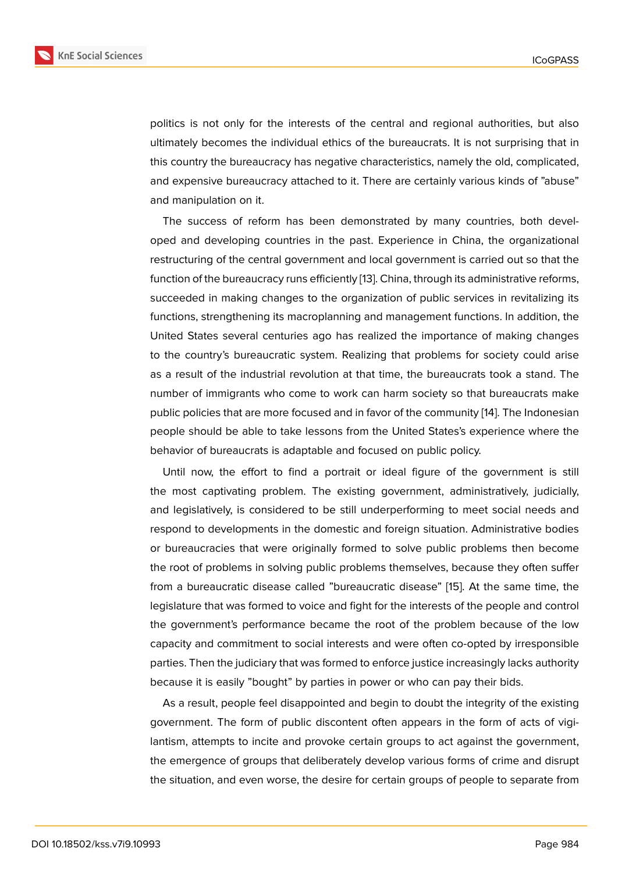politics is not only for the interests of the central and regional authorities, but also ultimately becomes the individual ethics of the bureaucrats. It is not surprising that in this country the bureaucracy has negative characteristics, namely the old, complicated, and expensive bureaucracy attached to it. There are certainly various kinds of "abuse" and manipulation on it.

The success of reform has been demonstrated by many countries, both developed and developing countries in the past. Experience in China, the organizational restructuring of the central government and local government is carried out so that the function of the bureaucracy runs efficiently [13]. China, through its administrative reforms, succeeded in making changes to the organization of public services in revitalizing its functions, strengthening its macroplanning and management functions. In addition, the United States several centuries ago has r[ea](#page-20-3)lized the importance of making changes to the country's bureaucratic system. Realizing that problems for society could arise as a result of the industrial revolution at that time, the bureaucrats took a stand. The number of immigrants who come to work can harm society so that bureaucrats make public policies that are more focused and in favor of the community [14]. The Indonesian people should be able to take lessons from the United States's experience where the behavior of bureaucrats is adaptable and focused on public policy.

Until now, the effort to find a portrait or ideal figure of the [go](#page-20-4)vernment is still the most captivating problem. The existing government, administratively, judicially, and legislatively, is considered to be still underperforming to meet social needs and respond to developments in the domestic and foreign situation. Administrative bodies or bureaucracies that were originally formed to solve public problems then become the root of problems in solving public problems themselves, because they often suffer from a bureaucratic disease called "bureaucratic disease" [15]. At the same time, the legislature that was formed to voice and fight for the interests of the people and control the government's performance became the root of the problem because of the low capacity and commitment to social interests and were often [co](#page-20-5)-opted by irresponsible parties. Then the judiciary that was formed to enforce justice increasingly lacks authority because it is easily "bought" by parties in power or who can pay their bids.

As a result, people feel disappointed and begin to doubt the integrity of the existing government. The form of public discontent often appears in the form of acts of vigilantism, attempts to incite and provoke certain groups to act against the government, the emergence of groups that deliberately develop various forms of crime and disrupt the situation, and even worse, the desire for certain groups of people to separate from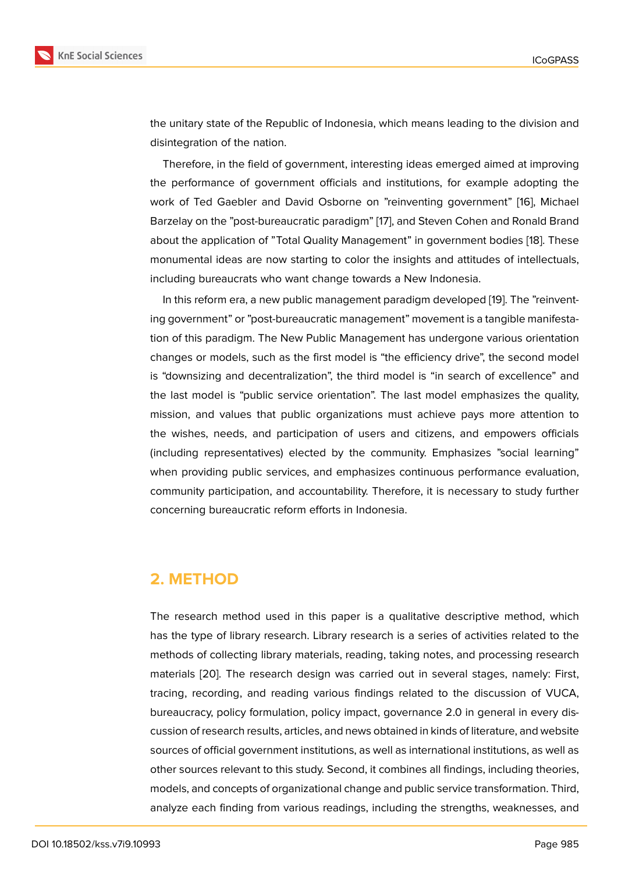the unitary state of the Republic of Indonesia, which means leading to the division and disintegration of the nation.

Therefore, in the field of government, interesting ideas emerged aimed at improving the performance of government officials and institutions, for example adopting the work of Ted Gaebler and David Osborne on "reinventing government" [16], Michael Barzelay on the "post-bureaucratic paradigm" [17], and Steven Cohen and Ronald Brand about the application of "Total Quality Management" in government bodies [18]. These monumental ideas are now starting to color the insights and attitudes of [inte](#page-20-6)llectuals, including bureaucrats who want change towa[rds](#page-20-7) a New Indonesia.

In this reform era, a new public management paradigm developed [19]. Th[e "r](#page-20-8)einventing government" or "post-bureaucratic management" movement is a tangible manifestation of this paradigm. The New Public Management has undergone various orientation changes or models, such as the first model is "the efficiency drive", [the](#page-20-9) second model is "downsizing and decentralization", the third model is "in search of excellence" and the last model is "public service orientation". The last model emphasizes the quality, mission, and values that public organizations must achieve pays more attention to the wishes, needs, and participation of users and citizens, and empowers officials (including representatives) elected by the community. Emphasizes "social learning" when providing public services, and emphasizes continuous performance evaluation, community participation, and accountability. Therefore, it is necessary to study further concerning bureaucratic reform efforts in Indonesia.

# **2. METHOD**

The research method used in this paper is a qualitative descriptive method, which has the type of library research. Library research is a series of activities related to the methods of collecting library materials, reading, taking notes, and processing research materials [20]. The research design was carried out in several stages, namely: First, tracing, recording, and reading various findings related to the discussion of VUCA, bureaucracy, policy formulation, policy impact, governance 2.0 in general in every discussion of [res](#page-20-10)earch results, articles, and news obtained in kinds of literature, and website sources of official government institutions, as well as international institutions, as well as other sources relevant to this study. Second, it combines all findings, including theories, models, and concepts of organizational change and public service transformation. Third, analyze each finding from various readings, including the strengths, weaknesses, and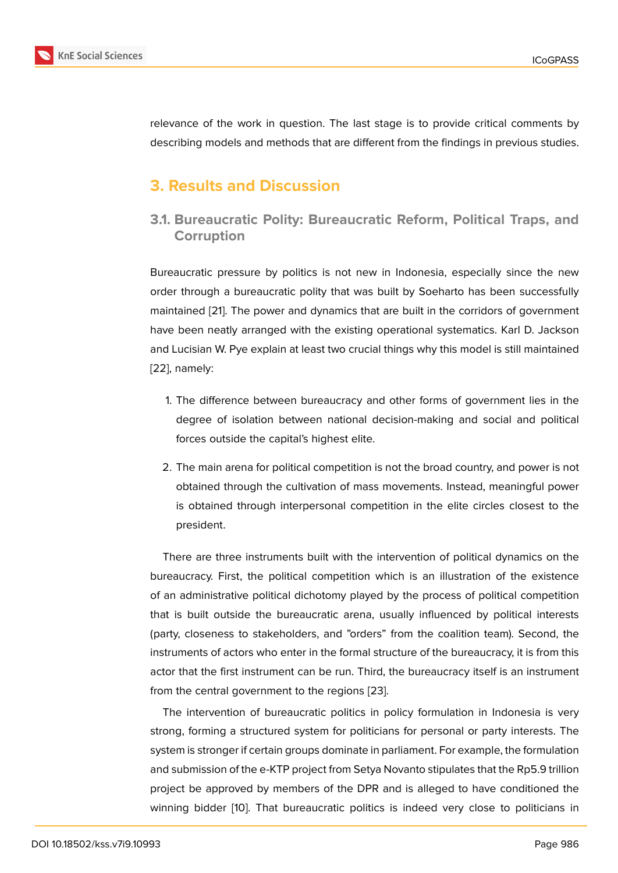relevance of the work in question. The last stage is to provide critical comments by describing models and methods that are different from the findings in previous studies.

# **3. Results and Discussion**

**3.1. Bureaucratic Polity: Bureaucratic Reform, Political Traps, and Corruption**

Bureaucratic pressure by politics is not new in Indonesia, especially since the new order through a bureaucratic polity that was built by Soeharto has been successfully maintained [21]. The power and dynamics that are built in the corridors of government have been neatly arranged with the existing operational systematics. Karl D. Jackson and Lucisian W. Pye explain at least two crucial things why this model is still maintained [22], namely[:](#page-20-11)

- 1. The difference between bureaucracy and other forms of government lies in the degree of isolation between national decision-making and social and political forces outside the capital's highest elite.
- 2. The main arena for political competition is not the broad country, and power is not obtained through the cultivation of mass movements. Instead, meaningful power is obtained through interpersonal competition in the elite circles closest to the president.

There are three instruments built with the intervention of political dynamics on the bureaucracy. First, the political competition which is an illustration of the existence of an administrative political dichotomy played by the process of political competition that is built outside the bureaucratic arena, usually influenced by political interests (party, closeness to stakeholders, and "orders" from the coalition team). Second, the instruments of actors who enter in the formal structure of the bureaucracy, it is from this actor that the first instrument can be run. Third, the bureaucracy itself is an instrument from the central government to the regions [23].

The intervention of bureaucratic politics in policy formulation in Indonesia is very strong, forming a structured system for politicians for personal or party interests. The system is stronger if certain groups dominate [in p](#page-20-12)arliament. For example, the formulation and submission of the e-KTP project from Setya Novanto stipulates that the Rp5.9 trillion project be approved by members of the DPR and is alleged to have conditioned the winning bidder [10]. That bureaucratic politics is indeed very close to politicians in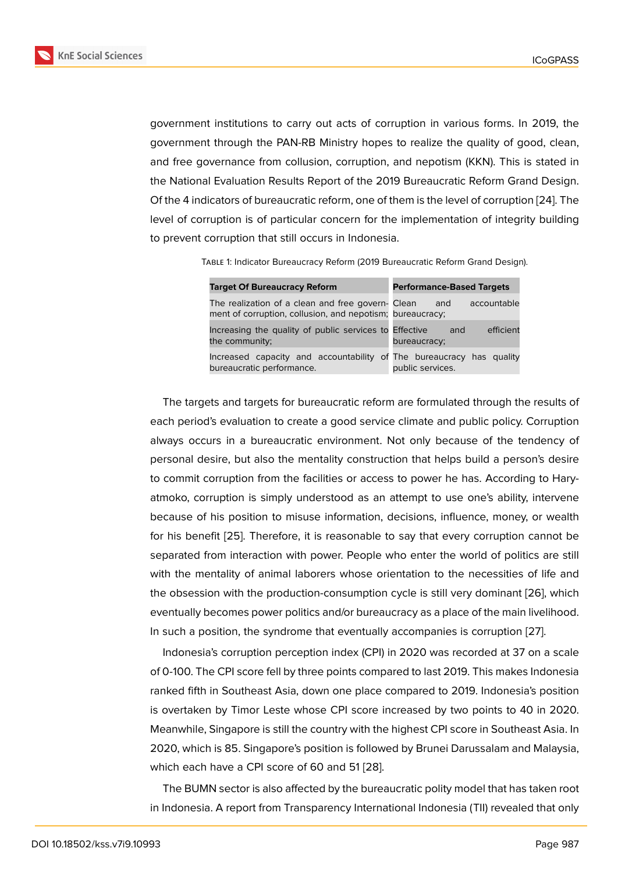government institutions to carry out acts of corruption in various forms. In 2019, the government through the PAN-RB Ministry hopes to realize the quality of good, clean, and free governance from collusion, corruption, and nepotism (KKN). This is stated in the National Evaluation Results Report of the 2019 Bureaucratic Reform Grand Design. Of the 4 indicators of bureaucratic reform, one of them is the level of corruption [24]. The level of corruption is of particular concern for the implementation of integrity building to prevent corruption that still occurs in Indonesia.

Table 1: Indicator Bureaucracy Reform (2019 Bureaucratic Reform Grand Design).

| <b>Target Of Bureaucracy Reform</b>                                                                            | <b>Performance-Based Targets</b> |
|----------------------------------------------------------------------------------------------------------------|----------------------------------|
| The realization of a clean and free govern- Clean<br>ment of corruption, collusion, and nepotism; bureaucracy; | accountable<br>and               |
| Increasing the quality of public services to Effective<br>the community;                                       | efficient<br>and<br>bureaucracy; |
| Increased capacity and accountability of The bureaucracy has quality<br>bureaucratic performance.              | public services.                 |

The targets and targets for bureaucratic reform are formulated through the results of each period's evaluation to create a good service climate and public policy. Corruption always occurs in a bureaucratic environment. Not only because of the tendency of personal desire, but also the mentality construction that helps build a person's desire to commit corruption from the facilities or access to power he has. According to Haryatmoko, corruption is simply understood as an attempt to use one's ability, intervene because of his position to misuse information, decisions, influence, money, or wealth for his benefit [25]. Therefore, it is reasonable to say that every corruption cannot be separated from interaction with power. People who enter the world of politics are still with the mentality of animal laborers whose orientation to the necessities of life and the obsession [with](#page-21-0) the production-consumption cycle is still very dominant [26], which eventually becomes power politics and/or bureaucracy as a place of the main livelihood. In such a position, the syndrome that eventually accompanies is corruption [27].

Indonesia's corruption perception index (CPI) in 2020 was recorded at 37 [on](#page-21-1) a scale of 0-100. The CPI score fell by three points compared to last 2019. This makes Indonesia ranked fifth in Southeast Asia, down one place compared to 2019. Indonesi[a's p](#page-21-2)osition is overtaken by Timor Leste whose CPI score increased by two points to 40 in 2020. Meanwhile, Singapore is still the country with the highest CPI score in Southeast Asia. In 2020, which is 85. Singapore's position is followed by Brunei Darussalam and Malaysia, which each have a CPI score of 60 and 51 [28].

The BUMN sector is also affected by the bureaucratic polity model that has taken root in Indonesia. A report from Transparency In[tern](#page-21-3)ational Indonesia (TII) revealed that only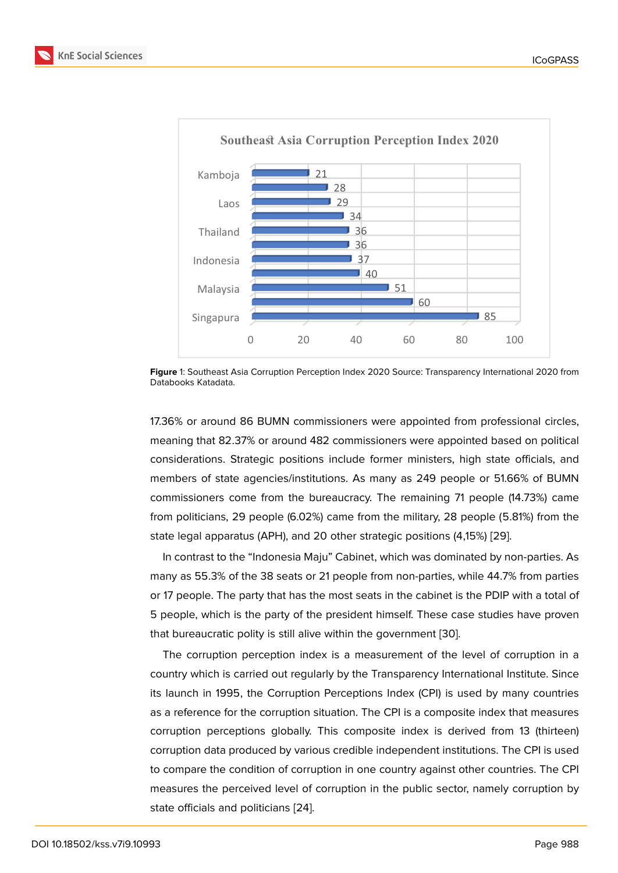

**Figure** 1: Southeast Asia Corruption Perception Index 2020 Source: Transparency International 2020 from Databooks Katadata.

17.36% or around 86 BUMN commissioners were appointed from professional circles, meaning that 82.37% or around 482 commissioners were appointed based on political considerations. Strategic positions include former ministers, high state officials, and members of state agencies/institutions. As many as 249 people or 51.66% of BUMN commissioners come from the bureaucracy. The remaining 71 people (14.73%) came from politicians, 29 people (6.02%) came from the military, 28 people (5.81%) from the state legal apparatus (APH), and 20 other strategic positions (4,15%) [29].

In contrast to the "Indonesia Maju" Cabinet, which was dominated by non-parties. As many as 55.3% of the 38 seats or 21 people from non-parties, while 44.7% from parties or 17 people. The party that has the most seats in the cabinet is the P[DIP](#page-21-4) with a total of 5 people, which is the party of the president himself. These case studies have proven that bureaucratic polity is still alive within the government [30].

The corruption perception index is a measurement of the level of corruption in a country which is carried out regularly by the Transparency International Institute. Since its launch in 1995, the Corruption Perceptions Index (CPI) [is](#page-21-5) used by many countries as a reference for the corruption situation. The CPI is a composite index that measures corruption perceptions globally. This composite index is derived from 13 (thirteen) corruption data produced by various credible independent institutions. The CPI is used to compare the condition of corruption in one country against other countries. The CPI measures the perceived level of corruption in the public sector, namely corruption by state officials and politicians [24].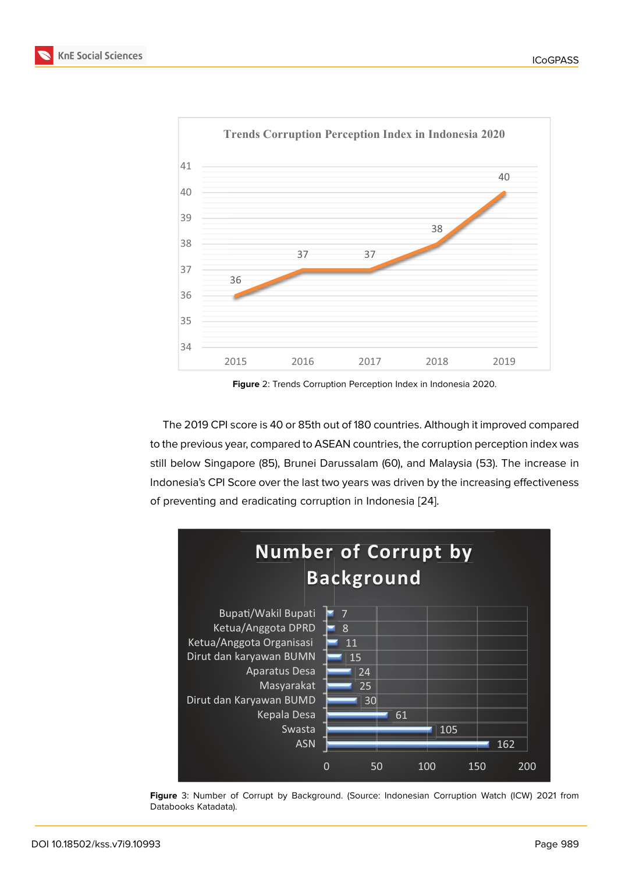

**Figure** 2: Trends Corruption Perception Index in Indonesia 2020.

The 2019 CPI score is 40 or 85th out of 180 countries. Although it improved compared to the previous year, compared to ASEAN countries, the corruption perception index was still below Singapore (85), Brunei Darussalam (60), and Malaysia (53). The increase in Indonesia's CPI Score over the last two years was driven by the increasing effectiveness of preventing and eradicating corruption in Indonesia [24].



**Figure** 3: Number of Corrupt by Background. (Source: Indonesian Corruption Watch (ICW) 2021 from Databooks Katadata).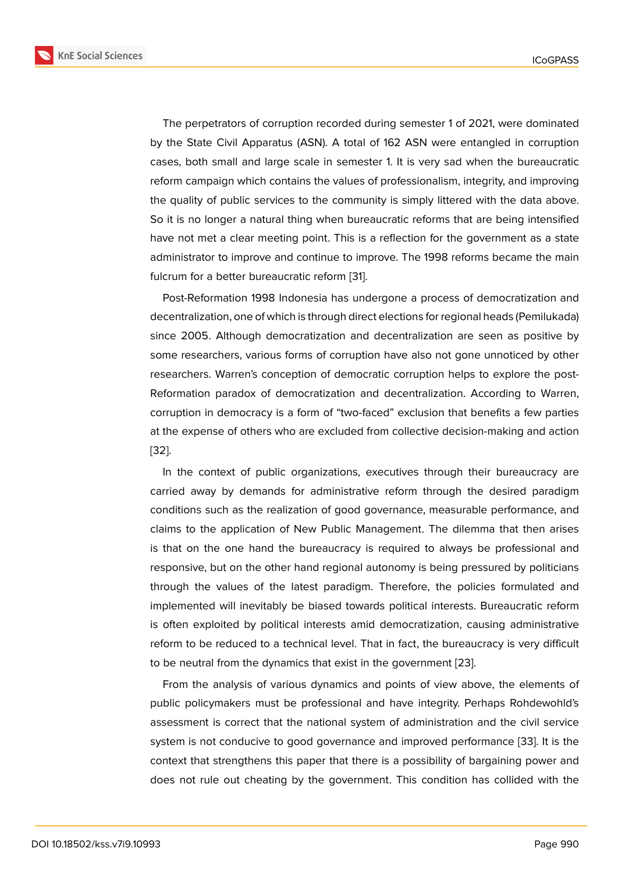The perpetrators of corruption recorded during semester 1 of 2021, were dominated by the State Civil Apparatus (ASN). A total of 162 ASN were entangled in corruption cases, both small and large scale in semester 1. It is very sad when the bureaucratic reform campaign which contains the values of professionalism, integrity, and improving the quality of public services to the community is simply littered with the data above. So it is no longer a natural thing when bureaucratic reforms that are being intensified have not met a clear meeting point. This is a reflection for the government as a state administrator to improve and continue to improve. The 1998 reforms became the main fulcrum for a better bureaucratic reform [31].

Post-Reformation 1998 Indonesia has undergone a process of democratization and decentralization, one of which is through direct elections for regional heads (Pemilukada) since 2005. Although democratization [an](#page-21-6)d decentralization are seen as positive by some researchers, various forms of corruption have also not gone unnoticed by other researchers. Warren's conception of democratic corruption helps to explore the post-Reformation paradox of democratization and decentralization. According to Warren, corruption in democracy is a form of "two-faced" exclusion that benefits a few parties at the expense of others who are excluded from collective decision-making and action [32].

In the context of public organizations, executives through their bureaucracy are carried away by demands for administrative reform through the desired paradigm [con](#page-21-7)ditions such as the realization of good governance, measurable performance, and claims to the application of New Public Management. The dilemma that then arises is that on the one hand the bureaucracy is required to always be professional and responsive, but on the other hand regional autonomy is being pressured by politicians through the values of the latest paradigm. Therefore, the policies formulated and implemented will inevitably be biased towards political interests. Bureaucratic reform is often exploited by political interests amid democratization, causing administrative reform to be reduced to a technical level. That in fact, the bureaucracy is very difficult to be neutral from the dynamics that exist in the government [23].

From the analysis of various dynamics and points of view above, the elements of public policymakers must be professional and have integrity. Perhaps Rohdewohld's assessment is correct that the national system of administra[tion](#page-20-12) and the civil service system is not conducive to good governance and improved performance [33]. It is the context that strengthens this paper that there is a possibility of bargaining power and does not rule out cheating by the government. This condition has collided with the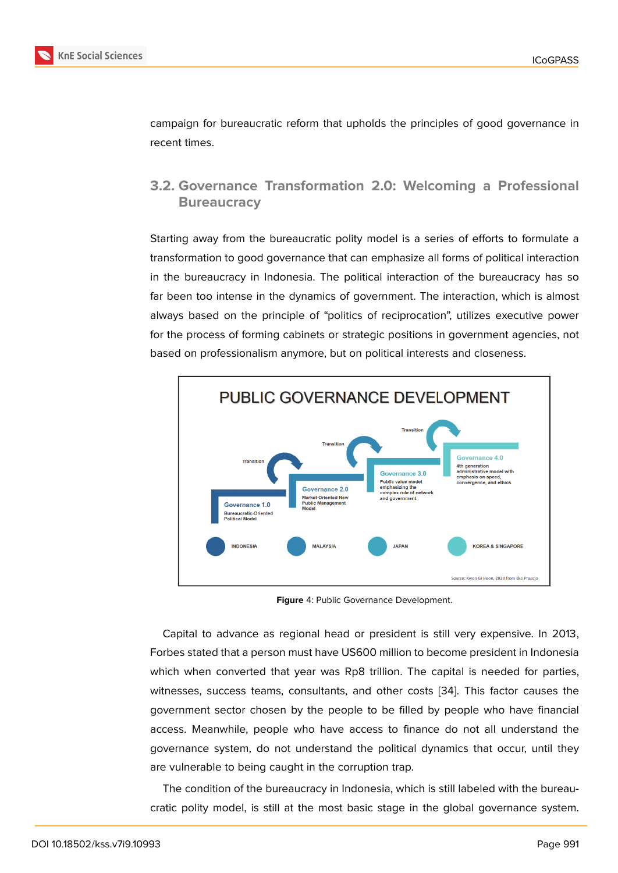campaign for bureaucratic reform that upholds the principles of good governance in recent times.

### **3.2. Governance Transformation 2.0: Welcoming a Professional Bureaucracy**

Starting away from the bureaucratic polity model is a series of efforts to formulate a transformation to good governance that can emphasize all forms of political interaction in the bureaucracy in Indonesia. The political interaction of the bureaucracy has so far been too intense in the dynamics of government. The interaction, which is almost always based on the principle of "politics of reciprocation", utilizes executive power for the process of forming cabinets or strategic positions in government agencies, not based on professionalism anymore, but on political interests and closeness.



**Figure** 4: Public Governance Development.

Capital to advance as regional head or president is still very expensive. In 2013, Forbes stated that a person must have US600 million to become president in Indonesia which when converted that year was Rp8 trillion. The capital is needed for parties, witnesses, success teams, consultants, and other costs [34]. This factor causes the government sector chosen by the people to be filled by people who have financial access. Meanwhile, people who have access to finance do not all understand the governance system, do not understand the political dyn[am](#page-21-8)ics that occur, until they are vulnerable to being caught in the corruption trap.

The condition of the bureaucracy in Indonesia, which is still labeled with the bureaucratic polity model, is still at the most basic stage in the global governance system.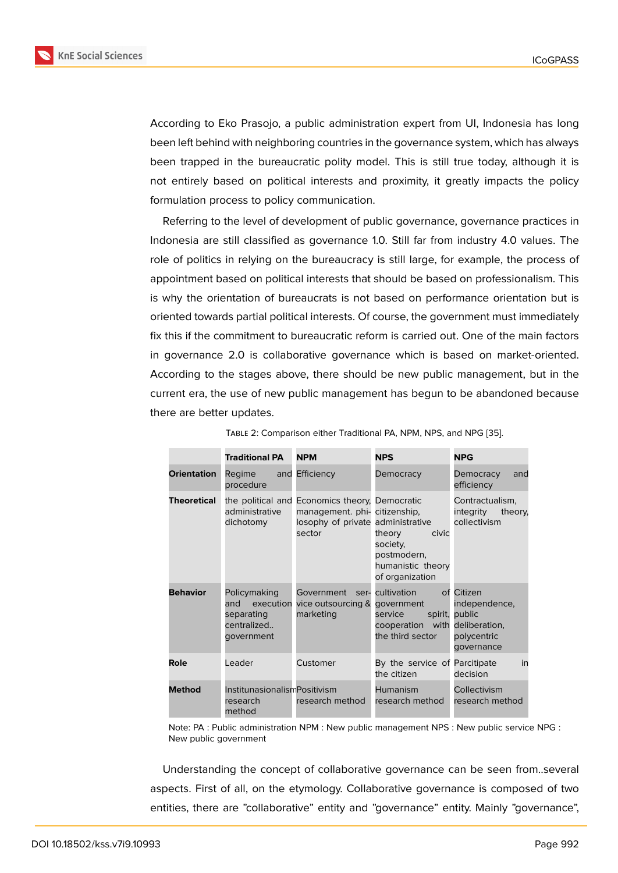According to Eko Prasojo, a public administration expert from UI, Indonesia has long been left behind with neighboring countries in the governance system, which has always been trapped in the bureaucratic polity model. This is still true today, although it is not entirely based on political interests and proximity, it greatly impacts the policy formulation process to policy communication.

Referring to the level of development of public governance, governance practices in Indonesia are still classified as governance 1.0. Still far from industry 4.0 values. The role of politics in relying on the bureaucracy is still large, for example, the process of appointment based on political interests that should be based on professionalism. This is why the orientation of bureaucrats is not based on performance orientation but is oriented towards partial political interests. Of course, the government must immediately fix this if the commitment to bureaucratic reform is carried out. One of the main factors in governance 2.0 is collaborative governance which is based on market-oriented. According to the stages above, there should be new public management, but in the current era, the use of new public management has begun to be abandoned because there are better updates.

|                    | <b>Traditional PA</b>                                                       | <b>NPM</b>                                                                                                                     | <b>NPS</b>                                                                                            | <b>NPG</b>                                                         |
|--------------------|-----------------------------------------------------------------------------|--------------------------------------------------------------------------------------------------------------------------------|-------------------------------------------------------------------------------------------------------|--------------------------------------------------------------------|
| <b>Orientation</b> | Regime<br>procedure                                                         | and Efficiency                                                                                                                 | Democracy                                                                                             | Democracy<br>and<br>efficiency                                     |
| <b>Theoretical</b> | administrative<br>dichotomy                                                 | the political and Economics theory, Democratic<br>management. phi- citizenship,<br>losophy of private administrative<br>sector | civic<br>theory<br>society,<br>postmodern,<br>humanistic theory<br>of organization                    | Contractualism,<br>integrity<br>theory,<br>collectivism            |
| <b>Behavior</b>    | Policymaking<br>and<br>execution<br>separating<br>centralized<br>government | Government ser-<br>vice outsourcing &<br>marketing                                                                             | cultivation<br>government<br>spirit,<br>service<br>cooperation with deliberation,<br>the third sector | of Citizen<br>independence,<br>public<br>polycentric<br>qovernance |
| Role               | Leader                                                                      | Customer                                                                                                                       | By the service of Parcitipate<br>the citizen                                                          | in<br>decision                                                     |
| <b>Method</b>      | InstitunasionalismPositivism<br>research<br>method                          | research method                                                                                                                | Humanism<br>research method                                                                           | Collectivism<br>research method                                    |

Table 2: Comparison either Traditional PA, NPM, NPS, and NPG [35].

Note: PA : Public administration NPM : New public management NPS : New public service NPG : New public government

Understanding the concept of collaborative governance can be seen from..several aspects. First of all, on the etymology. Collaborative governance is composed of two entities, there are "collaborative" entity and "governance" entity. Mainly "governance",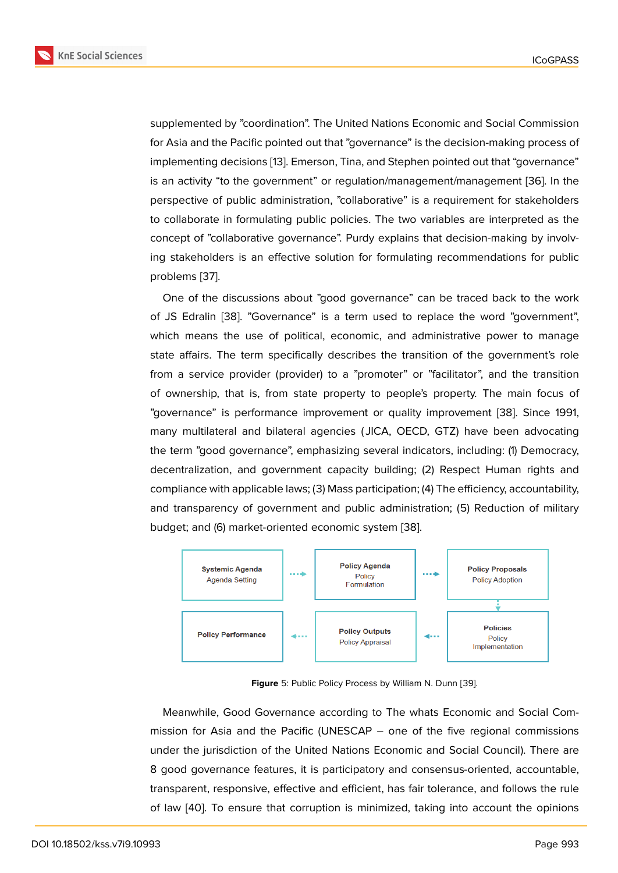supplemented by "coordination". The United Nations Economic and Social Commission for Asia and the Pacific pointed out that "governance" is the decision-making process of implementing decisions [13]. Emerson, Tina, and Stephen pointed out that "governance" is an activity "to the government" or regulation/management/management [36]. In the perspective of public administration, "collaborative" is a requirement for stakeholders to collaborate in formul[atin](#page-20-3)g public policies. The two variables are interpreted as the concept of "collaborative governance". Purdy explains that decision-making [by](#page-21-10) involving stakeholders is an effective solution for formulating recommendations for public problems [37].

One of the discussions about "good governance" can be traced back to the work of JS Edralin [38]. "Governance" is a term used to replace the word "government", which me[ans](#page-22-0) the use of political, economic, and administrative power to manage state affairs. The term specifically describes the transition of the government's role from a servic[e pr](#page-22-1)ovider (provider) to a "promoter" or "facilitator", and the transition of ownership, that is, from state property to people's property. The main focus of "governance" is performance improvement or quality improvement [38]. Since 1991, many multilateral and bilateral agencies ( JICA, OECD, GTZ) have been advocating the term "good governance", emphasizing several indicators, including: (1) Democracy, decentralization, and government capacity building; (2) Respect H[uma](#page-22-1)n rights and compliance with applicable laws; (3) Mass participation; (4) The efficiency, accountability, and transparency of government and public administration; (5) Reduction of military budget; and (6) market-oriented economic system [38].



**Figure** 5: Public Policy Process by William N. Dunn [39].

Meanwhile, Good Governance according to The whats Economic and Social Commission for Asia and the Pacific (UNESCAP – one of the five regional commissions under the jurisdiction of the United Nations Economic and Social Council). There are 8 good governance features, it is participatory and consensus-oriented, accountable, transparent, responsive, effective and efficient, has fair tolerance, and follows the rule of law [40]. To ensure that corruption is minimized, taking into account the opinions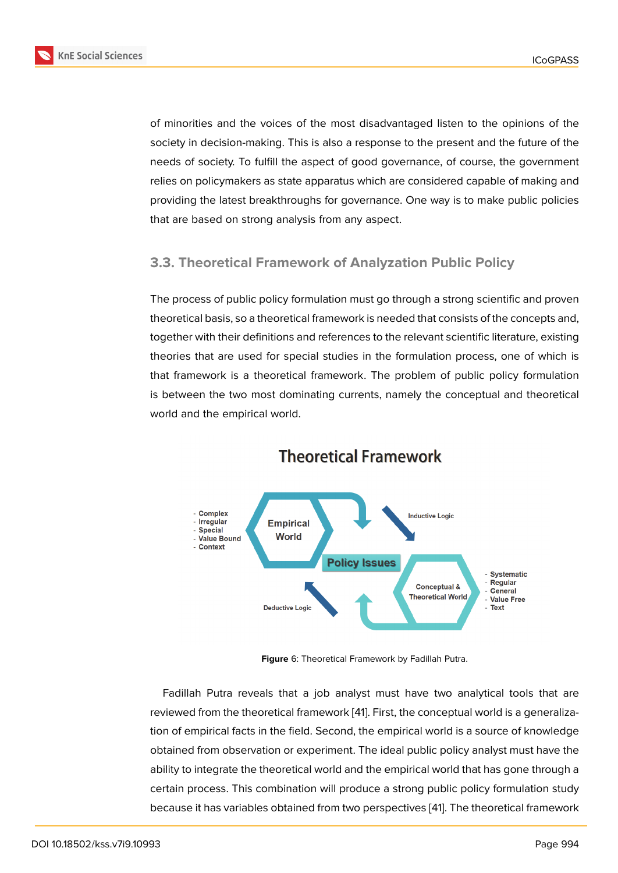of minorities and the voices of the most disadvantaged listen to the opinions of the society in decision-making. This is also a response to the present and the future of the needs of society. To fulfill the aspect of good governance, of course, the government relies on policymakers as state apparatus which are considered capable of making and providing the latest breakthroughs for governance. One way is to make public policies that are based on strong analysis from any aspect.

### **3.3. Theoretical Framework of Analyzation Public Policy**

The process of public policy formulation must go through a strong scientific and proven theoretical basis, so a theoretical framework is needed that consists of the concepts and, together with their definitions and references to the relevant scientific literature, existing theories that are used for special studies in the formulation process, one of which is that framework is a theoretical framework. The problem of public policy formulation is between the two most dominating currents, namely the conceptual and theoretical world and the empirical world.



# **Theoretical Framework**

**Figure** 6: Theoretical Framework by Fadillah Putra.

Fadillah Putra reveals that a job analyst must have two analytical tools that are reviewed from the theoretical framework [41]. First, the conceptual world is a generalization of empirical facts in the field. Second, the empirical world is a source of knowledge obtained from observation or experiment. The ideal public policy analyst must have the ability to integrate the theoretical world a[nd](#page-22-2) the empirical world that has gone through a certain process. This combination will produce a strong public policy formulation study because it has variables obtained from two perspectives [41]. The theoretical framework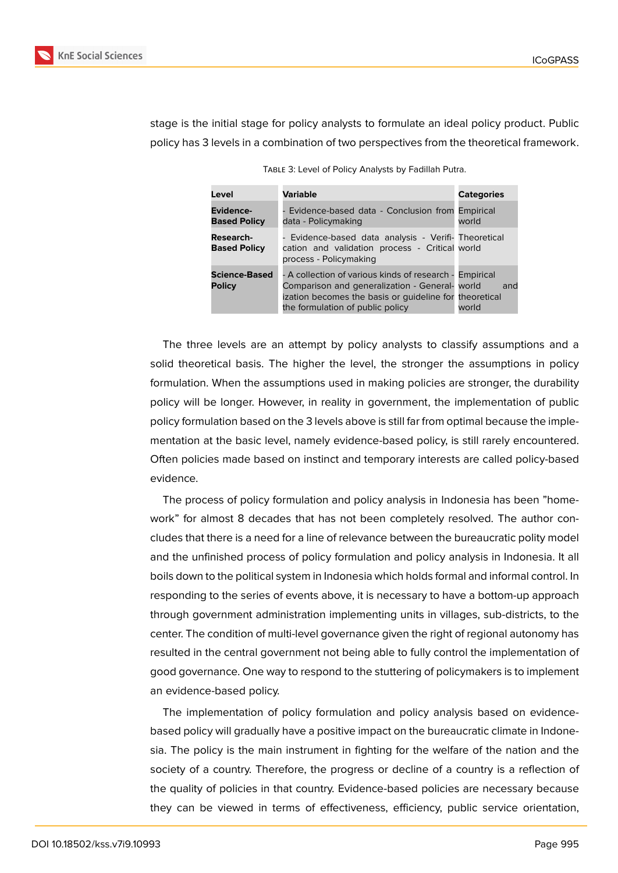

stage is the initial stage for policy analysts to formulate an ideal policy product. Public policy has 3 levels in a combination of two perspectives from the theoretical framework.

| Level                                   | <b>Variable</b>                                                                                                                                                                                         | <b>Categories</b> |
|-----------------------------------------|---------------------------------------------------------------------------------------------------------------------------------------------------------------------------------------------------------|-------------------|
| <b>Evidence-</b><br><b>Based Policy</b> | Evidence-based data - Conclusion from Empirical<br>data - Policymaking                                                                                                                                  | world             |
| <b>Research-</b><br><b>Based Policy</b> | Evidence-based data analysis - Verifi- Theoretical<br>cation and validation process - Critical world<br>process - Policymaking                                                                          |                   |
| <b>Science-Based</b><br><b>Policy</b>   | - A collection of various kinds of research - Empirical<br>Comparison and generalization - General- world<br>ization becomes the basis or quideline for theoretical<br>the formulation of public policy | and<br>world      |

Table 3: Level of Policy Analysts by Fadillah Putra.

The three levels are an attempt by policy analysts to classify assumptions and a solid theoretical basis. The higher the level, the stronger the assumptions in policy formulation. When the assumptions used in making policies are stronger, the durability policy will be longer. However, in reality in government, the implementation of public policy formulation based on the 3 levels above is still far from optimal because the implementation at the basic level, namely evidence-based policy, is still rarely encountered. Often policies made based on instinct and temporary interests are called policy-based evidence.

The process of policy formulation and policy analysis in Indonesia has been "homework" for almost 8 decades that has not been completely resolved. The author concludes that there is a need for a line of relevance between the bureaucratic polity model and the unfinished process of policy formulation and policy analysis in Indonesia. It all boils down to the political system in Indonesia which holds formal and informal control. In responding to the series of events above, it is necessary to have a bottom-up approach through government administration implementing units in villages, sub-districts, to the center. The condition of multi-level governance given the right of regional autonomy has resulted in the central government not being able to fully control the implementation of good governance. One way to respond to the stuttering of policymakers is to implement an evidence-based policy.

The implementation of policy formulation and policy analysis based on evidencebased policy will gradually have a positive impact on the bureaucratic climate in Indonesia. The policy is the main instrument in fighting for the welfare of the nation and the society of a country. Therefore, the progress or decline of a country is a reflection of the quality of policies in that country. Evidence-based policies are necessary because they can be viewed in terms of effectiveness, efficiency, public service orientation,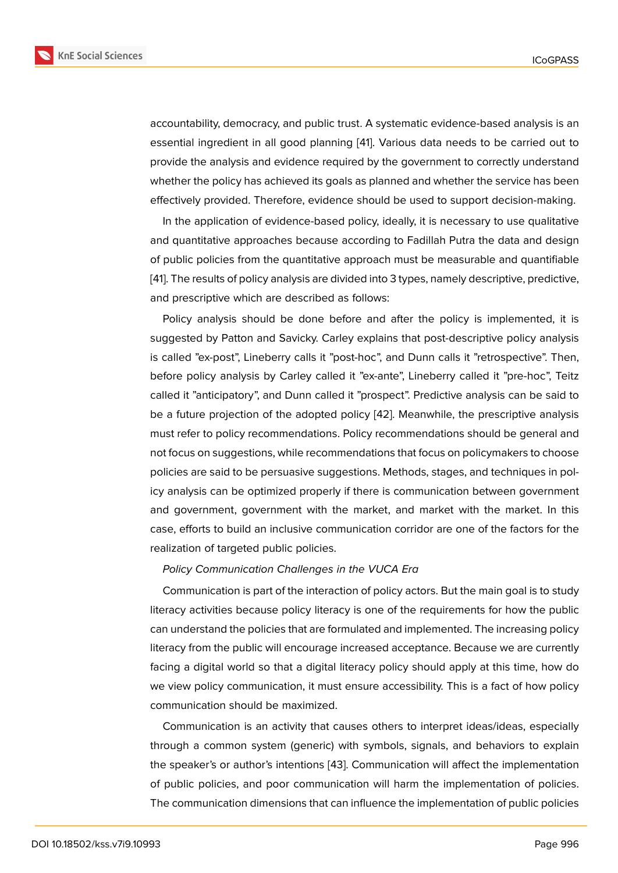accountability, democracy, and public trust. A systematic evidence-based analysis is an essential ingredient in all good planning [41]. Various data needs to be carried out to provide the analysis and evidence required by the government to correctly understand whether the policy has achieved its goals as planned and whether the service has been effectively provided. Therefore, evidence [sho](#page-22-2)uld be used to support decision-making.

In the application of evidence-based policy, ideally, it is necessary to use qualitative and quantitative approaches because according to Fadillah Putra the data and design of public policies from the quantitative approach must be measurable and quantifiable [41]. The results of policy analysis are divided into 3 types, namely descriptive, predictive, and prescriptive which are described as follows:

Policy analysis should be done before and after the policy is implemented, it is [sug](#page-22-2)gested by Patton and Savicky. Carley explains that post-descriptive policy analysis is called "ex-post", Lineberry calls it "post-hoc", and Dunn calls it "retrospective". Then, before policy analysis by Carley called it "ex-ante", Lineberry called it "pre-hoc", Teitz called it "anticipatory", and Dunn called it "prospect". Predictive analysis can be said to be a future projection of the adopted policy [42]. Meanwhile, the prescriptive analysis must refer to policy recommendations. Policy recommendations should be general and not focus on suggestions, while recommendations that focus on policymakers to choose policies are said to be persuasive suggestion[s. M](#page-22-3)ethods, stages, and techniques in policy analysis can be optimized properly if there is communication between government and government, government with the market, and market with the market. In this case, efforts to build an inclusive communication corridor are one of the factors for the realization of targeted public policies.

#### *Policy Communication Challenges in the VUCA Era*

Communication is part of the interaction of policy actors. But the main goal is to study literacy activities because policy literacy is one of the requirements for how the public can understand the policies that are formulated and implemented. The increasing policy literacy from the public will encourage increased acceptance. Because we are currently facing a digital world so that a digital literacy policy should apply at this time, how do we view policy communication, it must ensure accessibility. This is a fact of how policy communication should be maximized.

Communication is an activity that causes others to interpret ideas/ideas, especially through a common system (generic) with symbols, signals, and behaviors to explain the speaker's or author's intentions [43]. Communication will affect the implementation of public policies, and poor communication will harm the implementation of policies. The communication dimensions that can influence the implementation of public policies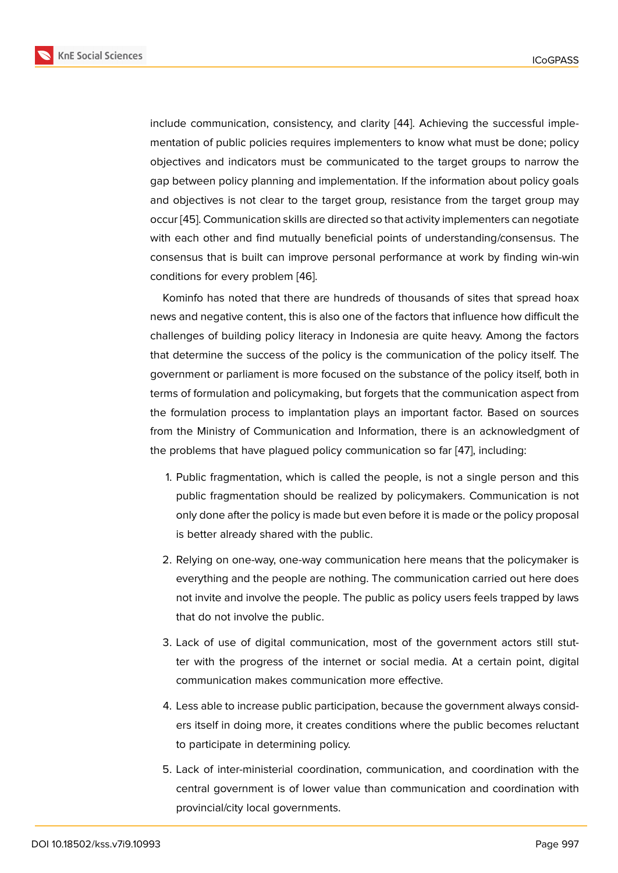include communication, consistency, and clarity [44]. Achieving the successful implementation of public policies requires implementers to know what must be done; policy objectives and indicators must be communicated to the target groups to narrow the gap between policy planning and implementation[. If](#page-22-4) the information about policy goals and objectives is not clear to the target group, resistance from the target group may occur [45]. Communication skills are directed so that activity implementers can negotiate with each other and find mutually beneficial points of understanding/consensus. The consensus that is built can improve personal performance at work by finding win-win condit[ion](#page-22-5)s for every problem [46].

Kominfo has noted that there are hundreds of thousands of sites that spread hoax news and negative content, this is also one of the factors that influence how difficult the challenges of building policy [lite](#page-22-6)racy in Indonesia are quite heavy. Among the factors that determine the success of the policy is the communication of the policy itself. The government or parliament is more focused on the substance of the policy itself, both in terms of formulation and policymaking, but forgets that the communication aspect from the formulation process to implantation plays an important factor. Based on sources from the Ministry of Communication and Information, there is an acknowledgment of the problems that have plagued policy communication so far [47], including:

- 1. Public fragmentation, which is called the people, is not a single person and this public fragmentation should be realized by policymaker[s. C](#page-22-7)ommunication is not only done after the policy is made but even before it is made or the policy proposal is better already shared with the public.
- 2. Relying on one-way, one-way communication here means that the policymaker is everything and the people are nothing. The communication carried out here does not invite and involve the people. The public as policy users feels trapped by laws that do not involve the public.
- 3. Lack of use of digital communication, most of the government actors still stutter with the progress of the internet or social media. At a certain point, digital communication makes communication more effective.
- 4. Less able to increase public participation, because the government always considers itself in doing more, it creates conditions where the public becomes reluctant to participate in determining policy.
- 5. Lack of inter-ministerial coordination, communication, and coordination with the central government is of lower value than communication and coordination with provincial/city local governments.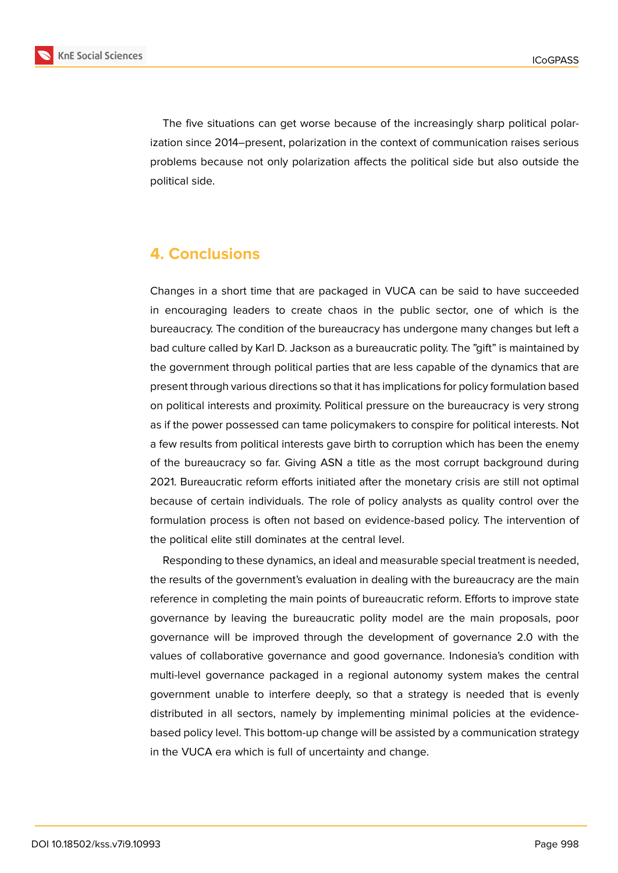

The five situations can get worse because of the increasingly sharp political polarization since 2014–present, polarization in the context of communication raises serious problems because not only polarization affects the political side but also outside the political side.

# **4. Conclusions**

Changes in a short time that are packaged in VUCA can be said to have succeeded in encouraging leaders to create chaos in the public sector, one of which is the bureaucracy. The condition of the bureaucracy has undergone many changes but left a bad culture called by Karl D. Jackson as a bureaucratic polity. The "gift" is maintained by the government through political parties that are less capable of the dynamics that are present through various directions so that it has implications for policy formulation based on political interests and proximity. Political pressure on the bureaucracy is very strong as if the power possessed can tame policymakers to conspire for political interests. Not a few results from political interests gave birth to corruption which has been the enemy of the bureaucracy so far. Giving ASN a title as the most corrupt background during 2021. Bureaucratic reform efforts initiated after the monetary crisis are still not optimal because of certain individuals. The role of policy analysts as quality control over the formulation process is often not based on evidence-based policy. The intervention of the political elite still dominates at the central level.

Responding to these dynamics, an ideal and measurable special treatment is needed, the results of the government's evaluation in dealing with the bureaucracy are the main reference in completing the main points of bureaucratic reform. Efforts to improve state governance by leaving the bureaucratic polity model are the main proposals, poor governance will be improved through the development of governance 2.0 with the values of collaborative governance and good governance. Indonesia's condition with multi-level governance packaged in a regional autonomy system makes the central government unable to interfere deeply, so that a strategy is needed that is evenly distributed in all sectors, namely by implementing minimal policies at the evidencebased policy level. This bottom-up change will be assisted by a communication strategy in the VUCA era which is full of uncertainty and change.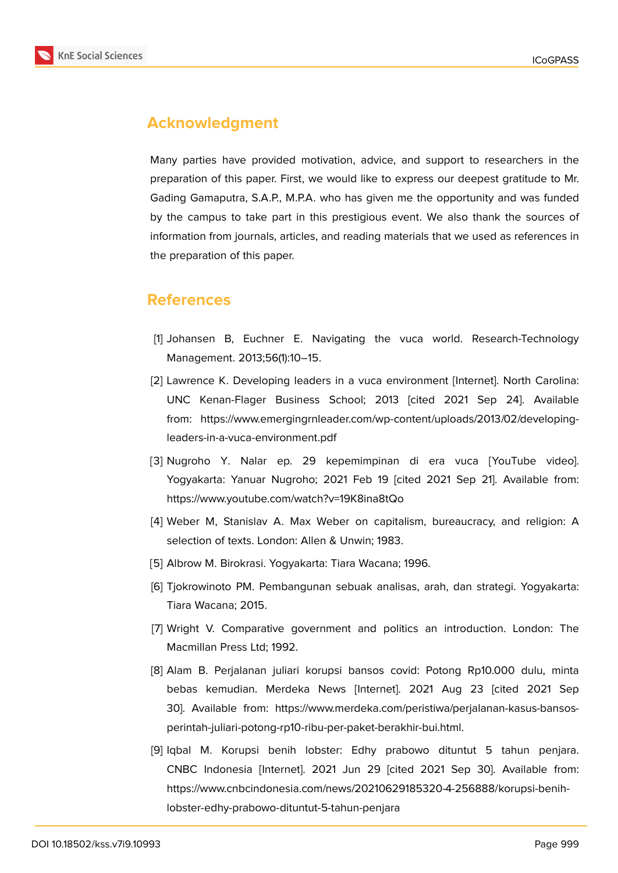

# **Acknowledgment**

Many parties have provided motivation, advice, and support to researchers in the preparation of this paper. First, we would like to express our deepest gratitude to Mr. Gading Gamaputra, S.A.P., M.P.A. who has given me the opportunity and was funded by the campus to take part in this prestigious event. We also thank the sources of information from journals, articles, and reading materials that we used as references in the preparation of this paper.

## **References**

- <span id="page-19-0"></span>[1] Johansen B, Euchner E. Navigating the vuca world. Research-Technology Management. 2013;56(1):10–15.
- <span id="page-19-1"></span>[2] Lawrence K. Developing leaders in a vuca environment [Internet]. North Carolina: UNC Kenan-Flager Business School; 2013 [cited 2021 Sep 24]. Available from: https://www.emergingrnleader.com/wp-content/uploads/2013/02/developingleaders-in-a-vuca-environment.pdf
- <span id="page-19-2"></span>[3] Nugroho Y. Nalar ep. 29 kepemimpinan di era vuca [YouTube video]. Yogyakarta: Yanuar Nugroho; 2021 Feb 19 [cited 2021 Sep 21]. Available from: https://www.youtube.com/watch?v=19K8ina8tQo
- [4] Weber M, Stanislav A. Max Weber on capitalism, bureaucracy, and religion: A selection of texts. London: Allen & Unwin; 1983.
- <span id="page-19-3"></span>[5] Albrow M. Birokrasi. Yogyakarta: Tiara Wacana; 1996.
- [6] Tjokrowinoto PM. Pembangunan sebuak analisas, arah, dan strategi. Yogyakarta: Tiara Wacana; 2015.
- [7] Wright V. Comparative government and politics an introduction. London: The Macmillan Press Ltd; 1992.
- [8] Alam B. Perjalanan juliari korupsi bansos covid: Potong Rp10.000 dulu, minta bebas kemudian. Merdeka News [Internet]. 2021 Aug 23 [cited 2021 Sep 30]. Available from: https://www.merdeka.com/peristiwa/perjalanan-kasus-bansosperintah-juliari-potong-rp10-ribu-per-paket-berakhir-bui.html.
- <span id="page-19-4"></span>[9] Iqbal M. Korupsi benih lobster: Edhy prabowo dituntut 5 tahun penjara. CNBC Indonesia [Internet]. 2021 Jun 29 [cited 2021 Sep 30]. Available from: https://www.cnbcindonesia.com/news/20210629185320-4-256888/korupsi-benihlobster-edhy-prabowo-dituntut-5-tahun-penjara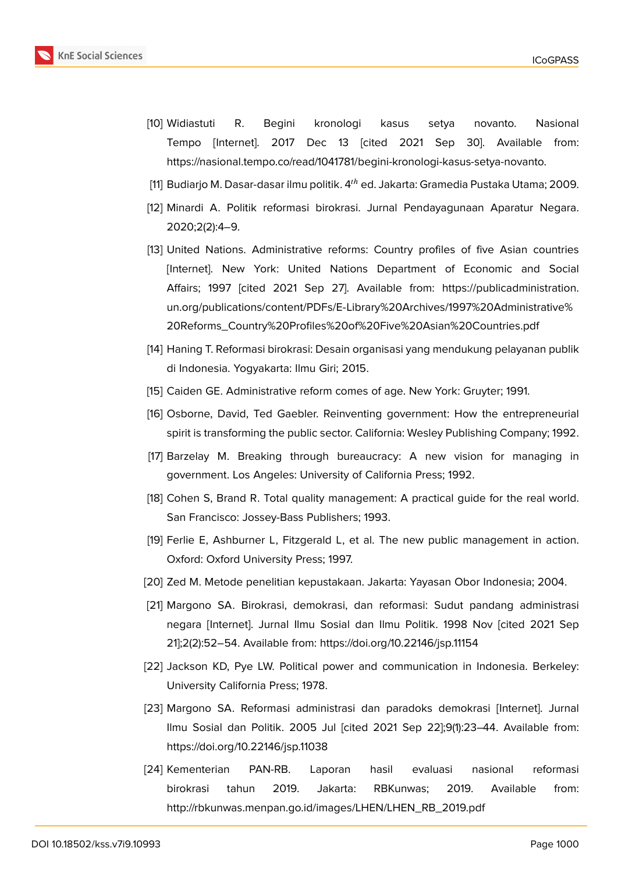- [10] Widiastuti R. Begini kronologi kasus setya novanto. Nasional Tempo [Internet]. 2017 Dec 13 [cited 2021 Sep 30]. Available from: https://nasional.tempo.co/read/1041781/begini-kronologi-kasus-setya-novanto.
- <span id="page-20-0"></span>[11] Budiarjo M. Dasar-dasar ilmu politik.  $4<sup>th</sup>$  ed. Jakarta: Gramedia Pustaka Utama; 2009.
- <span id="page-20-1"></span>[12] Minardi A. Politik reformasi birokrasi. Jurnal Pendayagunaan Aparatur Negara. 2020;2(2):4–9.
- <span id="page-20-3"></span><span id="page-20-2"></span>[13] United Nations. Administrative reforms: Country profiles of five Asian countries [Internet]. New York: United Nations Department of Economic and Social Affairs; 1997 [cited 2021 Sep 27]. Available from: https://publicadministration. un.org/publications/content/PDFs/E-Library%20Archives/1997%20Administrative% 20Reforms\_Country%20Profiles%20of%20Five%20Asian%20Countries.pdf
- [14] [Haning T. Reformasi birokrasi: Desain organisasi yang mendukung pelayanan publik](https://publicadministration.un.org/publications/content/PDFs/E-Library%20Archives/1997%20Administrative%20Reforms_Country%20Profiles%20of%20Five%20Asian%20Countries.pdf) [di Indonesia. Yogyakarta: Ilmu Giri; 2015.](https://publicadministration.un.org/publications/content/PDFs/E-Library%20Archives/1997%20Administrative%20Reforms_Country%20Profiles%20of%20Five%20Asian%20Countries.pdf)
- <span id="page-20-4"></span>[15] Caiden GE. Administrative reform comes of age. New York: Gruyter; 1991.
- <span id="page-20-5"></span>[16] Osborne, David, Ted Gaebler. Reinventing government: How the entrepreneurial spirit is transforming the public sector. California: Wesley Publishing Company; 1992.
- <span id="page-20-6"></span>[17] Barzelay M. Breaking through bureaucracy: A new vision for managing in government. Los Angeles: University of California Press; 1992.
- <span id="page-20-7"></span>[18] Cohen S, Brand R. Total quality management: A practical guide for the real world. San Francisco: Jossey-Bass Publishers; 1993.
- <span id="page-20-8"></span>[19] Ferlie E, Ashburner L, Fitzgerald L, et al. The new public management in action. Oxford: Oxford University Press; 1997.
- <span id="page-20-9"></span>[20] Zed M. Metode penelitian kepustakaan. Jakarta: Yayasan Obor Indonesia; 2004.
- <span id="page-20-10"></span>[21] Margono SA. Birokrasi, demokrasi, dan reformasi: Sudut pandang administrasi negara [Internet]. Jurnal Ilmu Sosial dan Ilmu Politik. 1998 Nov [cited 2021 Sep 21];2(2):52–54. Available from: https://doi.org/10.22146/jsp.11154
- <span id="page-20-11"></span>[22] Jackson KD, Pye LW. Political power and communication in Indonesia. Berkeley: University California Press; 1978.
- [23] Margono SA. Reformasi administrasi dan paradoks demokrasi [Internet]. Jurnal Ilmu Sosial dan Politik. 2005 Jul [cited 2021 Sep 22];9(1):23–44. Available from: https://doi.org/10.22146/jsp.11038
- <span id="page-20-13"></span><span id="page-20-12"></span>[24] Kementerian PAN-RB. Laporan hasil evaluasi nasional reformasi birokrasi tahun 2019. Jakarta: RBKunwas; 2019. Available from: http://rbkunwas.menpan.go.id/images/LHEN/LHEN\_RB\_2019.pdf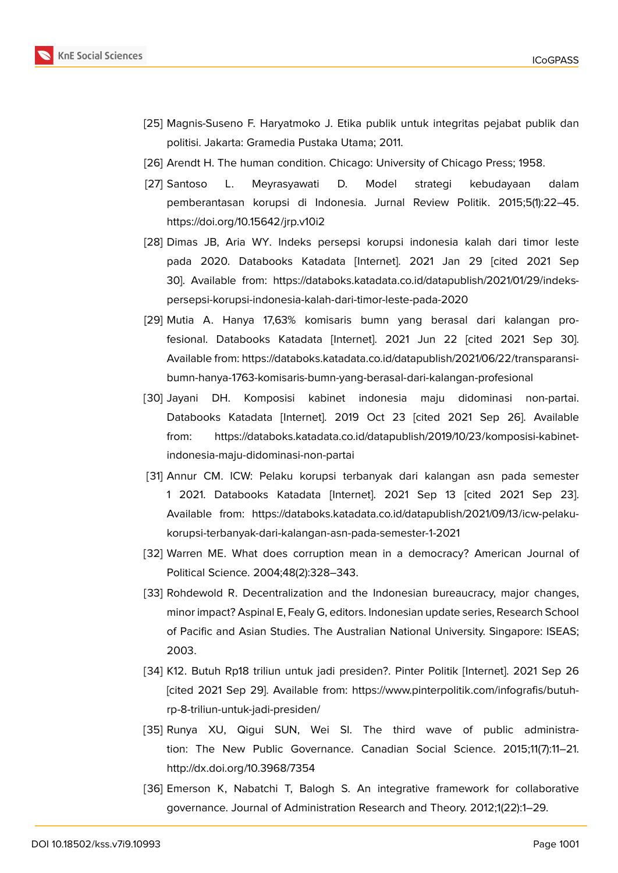

- <span id="page-21-0"></span>[25] Magnis-Suseno F. Haryatmoko J. Etika publik untuk integritas pejabat publik dan politisi. Jakarta: Gramedia Pustaka Utama; 2011.
- <span id="page-21-1"></span>[26] Arendt H. The human condition. Chicago: University of Chicago Press; 1958.
- <span id="page-21-2"></span>[27] Santoso L. Meyrasyawati D. Model strategi kebudayaan dalam pemberantasan korupsi di Indonesia. Jurnal Review Politik. 2015;5(1):22–45. https://doi.org/10.15642/jrp.v10i2
- <span id="page-21-3"></span>[28] Dimas JB, Aria WY. Indeks persepsi korupsi indonesia kalah dari timor leste pada 2020. Databooks Katadata [Internet]. 2021 Jan 29 [cited 2021 Sep 30]. Available from: https://databoks.katadata.co.id/datapublish/2021/01/29/indekspersepsi-korupsi-indonesia-kalah-dari-timor-leste-pada-2020
- <span id="page-21-4"></span>[29] Mutia A. Hanya 17,63% komisaris bumn yang berasal dari kalangan profesional. Databooks Katadata [Internet]. 2021 Jun 22 [cited 2021 Sep 30]. Available from: https://databoks.katadata.co.id/datapublish/2021/06/22/transparansibumn-hanya-1763-komisaris-bumn-yang-berasal-dari-kalangan-profesional
- <span id="page-21-5"></span>[30] Jayani DH. Komposisi kabinet indonesia maju didominasi non-partai. Databooks Katadata [Internet]. 2019 Oct 23 [cited 2021 Sep 26]. Available from: https://databoks.katadata.co.id/datapublish/2019/10/23/komposisi-kabinetindonesia-maju-didominasi-non-partai
- <span id="page-21-6"></span>[31] Annur CM. ICW: Pelaku korupsi terbanyak dari kalangan asn pada semester 1 2021. Databooks Katadata [Internet]. 2021 Sep 13 [cited 2021 Sep 23]. Available from: https://databoks.katadata.co.id/datapublish/2021/09/13/icw-pelakukorupsi-terbanyak-dari-kalangan-asn-pada-semester-1-2021
- <span id="page-21-7"></span>[32] Warren ME. What does corruption mean in a democracy? American Journal of Political Science. 2004;48(2):328–343.
- [33] Rohdewold R. Decentralization and the Indonesian bureaucracy, major changes, minor impact? Aspinal E, Fealy G, editors. Indonesian update series, Research School of Pacific and Asian Studies. The Australian National University. Singapore: ISEAS; 2003.
- <span id="page-21-8"></span>[34] K12. Butuh Rp18 triliun untuk jadi presiden?. Pinter Politik [Internet]. 2021 Sep 26 [cited 2021 Sep 29]. Available from: https://www.pinterpolitik.com/infografis/butuhrp-8-triliun-untuk-jadi-presiden/
- <span id="page-21-9"></span>[35] Runya XU, Qigui SUN, Wei SI. The third wave of public administration: The New Public Governance. Canadian Social Science. 2015;11(7):11–21. http://dx.doi.org/10.3968/7354
- <span id="page-21-10"></span>[36] Emerson K, Nabatchi T, Balogh S. An integrative framework for collaborative governance. Journal of Administration Research and Theory. 2012;1(22):1–29.